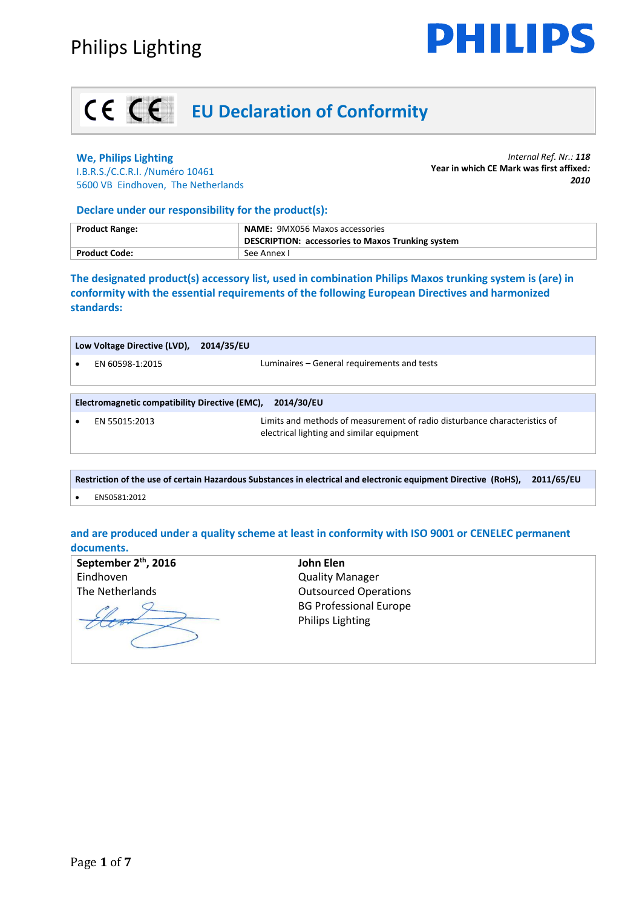

# **EU Declaration of Conformity**

### **We, Philips Lighting**

I.B.R.S./C.C.R.I. /Numéro 10461 5600 VB Eindhoven, The Netherlands

*Internal Ref. Nr.: 118* **Year in which CE Mark was first affixed***: 2010*

### **Declare under our responsibility for the product(s):**

| <b>Product Range:</b> | <b>NAME: 9MX056 Maxos accessories</b><br>DESCRIPTION: accessories to Maxos Trunking system |
|-----------------------|--------------------------------------------------------------------------------------------|
| <b>Product Code:</b>  | See Annex I                                                                                |

**The designated product(s) accessory list, used in combination Philips Maxos trunking system is (are) in conformity with the essential requirements of the following European Directives and harmonized standards:**

|                                                              | Low Voltage Directive (LVD), | 2014/35/EU                                                                                                             |
|--------------------------------------------------------------|------------------------------|------------------------------------------------------------------------------------------------------------------------|
|                                                              | EN 60598-1:2015              | Luminaires – General requirements and tests                                                                            |
| Electromagnetic compatibility Directive (EMC),<br>2014/30/EU |                              |                                                                                                                        |
|                                                              | EN 55015:2013                | Limits and methods of measurement of radio disturbance characteristics of<br>electrical lighting and similar equipment |
|                                                              |                              |                                                                                                                        |

| Restriction of the use of certain Hazardous Substances in electrical and electronic equipment Directive (RoHS), 2011/65/EU |              |  |
|----------------------------------------------------------------------------------------------------------------------------|--------------|--|
| $\bullet$                                                                                                                  | EN50581:2012 |  |

### **and are produced under a quality scheme at least in conformity with ISO 9001 or CENELEC permanent documents.**

| September 2 <sup>th</sup> , 2016 | John Elen                                                |
|----------------------------------|----------------------------------------------------------|
| Eindhoven                        | <b>Quality Manager</b>                                   |
| The Netherlands                  | <b>Outsourced Operations</b>                             |
|                                  | <b>BG Professional Europe</b><br><b>Philips Lighting</b> |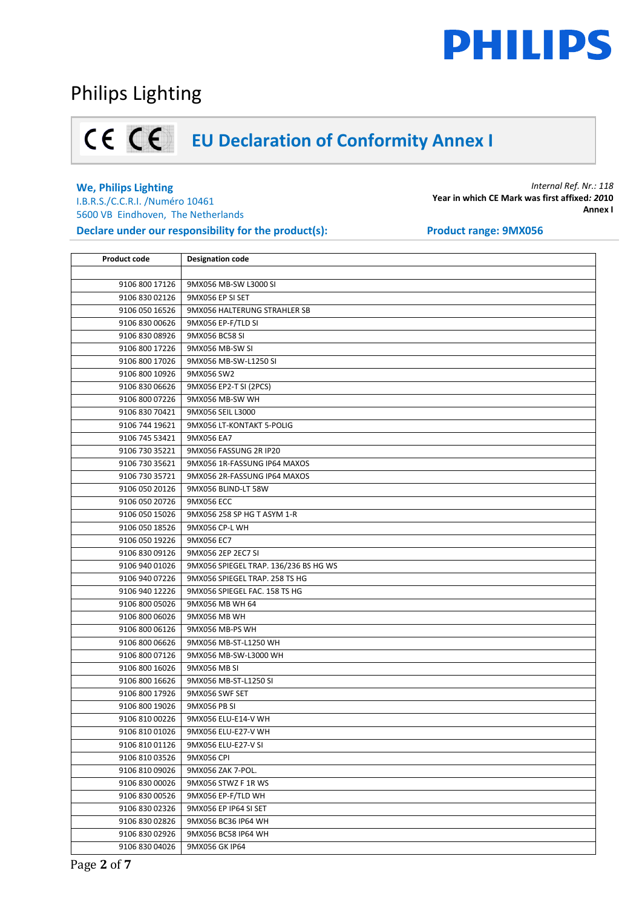

### Philips Lighting

# **EU Declaration of Conformity Annex I**

### **We, Philips Lighting**

I.B.R.S./C.C.R.I. /Numéro 10461 5600 VB Eindhoven, The Netherlands **Declare under our responsibility for the product(s):** Product range: 9MX056

| <b>Product code</b> | <b>Designation code</b>               |
|---------------------|---------------------------------------|
|                     |                                       |
| 9106 800 17126      | 9MX056 MB-SW L3000 SI                 |
| 9106 830 02126      | 9MX056 EP SI SET                      |
| 9106 050 16526      | 9MX056 HALTERUNG STRAHLER SB          |
| 9106 830 00626      | 9MX056 EP-F/TLD SI                    |
| 9106 830 08926      | 9MX056 BC58 SI                        |
| 9106 800 17226      | 9MX056 MB-SW SI                       |
| 9106 800 17026      | 9MX056 MB-SW-L1250 SI                 |
| 9106 800 10926      | 9MX056 SW2                            |
| 9106 830 06626      | 9MX056 EP2-T SI (2PCS)                |
| 9106 800 07226      | 9MX056 MB-SW WH                       |
| 9106 830 70421      | 9MX056 SEIL L3000                     |
| 9106 744 19621      | 9MX056 LT-KONTAKT 5-POLIG             |
| 9106 745 53421      | 9MX056 EA7                            |
| 9106 730 35221      | 9MX056 FASSUNG 2R IP20                |
| 9106 730 35621      | 9MX056 1R-FASSUNG IP64 MAXOS          |
| 9106 730 35721      | 9MX056 2R-FASSUNG IP64 MAXOS          |
| 9106 050 20126      | 9MX056 BLIND-LT 58W                   |
| 9106 050 20726      | 9MX056 ECC                            |
| 9106 050 15026      | 9MX056 258 SP HG T ASYM 1-R           |
| 9106 050 18526      | 9MX056 CP-L WH                        |
| 9106 050 19226      | 9MX056 EC7                            |
| 9106 830 09126      | 9MX056 2EP 2EC7 SI                    |
| 9106 940 01026      | 9MX056 SPIEGEL TRAP. 136/236 BS HG WS |
| 9106 940 07226      | 9MX056 SPIEGEL TRAP. 258 TS HG        |
| 9106 940 12226      | 9MX056 SPIEGEL FAC. 158 TS HG         |
| 9106 800 05026      | 9MX056 MB WH 64                       |
| 9106 800 06026      | 9MX056 MB WH                          |
| 9106 800 06126      | 9MX056 MB-PS WH                       |
| 9106 800 06626      | 9MX056 MB-ST-L1250 WH                 |
| 9106 800 07126      | 9MX056 MB-SW-L3000 WH                 |
| 9106 800 16026      | 9MX056 MB SI                          |
| 9106 800 16626      | 9MX056 MB-ST-L1250 SI                 |
| 9106 800 17926      | 9MX056 SWF SET                        |
| 9106 800 19026      | 9MX056 PB SI                          |
| 9106 810 00226      | 9MX056 ELU-E14-V WH                   |
| 9106 810 01026      | 9MX056 ELU-E27-V WH                   |
| 9106 810 01126      | 9MX056 ELU-E27-V SI                   |
| 9106 810 03526      | 9MX056 CPI                            |
| 9106 810 09026      | 9MX056 ZAK 7-POL.                     |
| 9106 830 00026      | 9MX056 STWZ F 1R WS                   |
| 9106 830 00526      | 9MX056 EP-F/TLD WH                    |
| 9106 830 02326      | 9MX056 EP IP64 SI SET                 |
| 9106 830 02826      | 9MX056 BC36 IP64 WH                   |
| 9106 830 02926      | 9MX056 BC58 IP64 WH                   |
| 9106 830 04026      | 9MX056 GK IP64                        |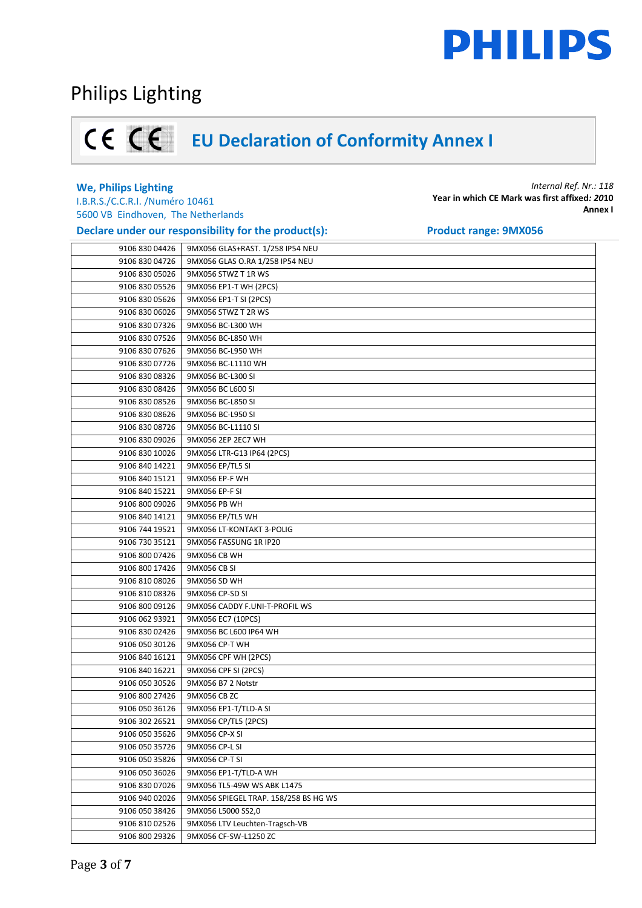## Philips Lighting

# **EU Declaration of Conformity Annex I**

### **We, Philips Lighting**

I.B.R.S./C.C.R.I. /Numéro 10461 5600 VB Eindhoven, The Netherlands

**Declare under our responsibility for the product(s): Product range: 9MX056** 

| 9106 830 04426 | 9MX056 GLAS+RAST. 1/258 IP54 NEU      |
|----------------|---------------------------------------|
| 9106 830 04726 | 9MX056 GLAS O.RA 1/258 IP54 NEU       |
| 9106 830 05026 | 9MX056 STWZ T 1R WS                   |
| 9106 830 05526 | 9MX056 EP1-T WH (2PCS)                |
| 9106 830 05626 | 9MX056 EP1-T SI (2PCS)                |
| 9106 830 06026 | 9MX056 STWZ T 2R WS                   |
| 9106 830 07326 | 9MX056 BC-L300 WH                     |
| 9106 830 07526 | 9MX056 BC-L850 WH                     |
| 9106 830 07626 | 9MX056 BC-L950 WH                     |
| 9106 830 07726 | 9MX056 BC-L1110 WH                    |
| 9106 830 08326 | 9MX056 BC-L300 SI                     |
| 9106 830 08426 | 9MX056 BC L600 SI                     |
| 9106 830 08526 | 9MX056 BC-L850 SI                     |
| 9106 830 08626 | 9MX056 BC-L950 SI                     |
| 9106 830 08726 | 9MX056 BC-L1110 SI                    |
| 9106 830 09026 | 9MX056 2EP 2EC7 WH                    |
| 9106 830 10026 | 9MX056 LTR-G13 IP64 (2PCS)            |
| 9106 840 14221 | 9MX056 EP/TL5 SI                      |
| 9106 840 15121 | 9MX056 EP-F WH                        |
| 9106 840 15221 | 9MX056 EP-F SI                        |
| 9106 800 09026 | 9MX056 PB WH                          |
| 9106 840 14121 | 9MX056 EP/TL5 WH                      |
| 9106 744 19521 | 9MX056 LT-KONTAKT 3-POLIG             |
| 9106 730 35121 | 9MX056 FASSUNG 1R IP20                |
| 9106 800 07426 | 9MX056 CB WH                          |
| 9106 800 17426 | 9MX056 CB SI                          |
| 9106 810 08026 | 9MX056 SD WH                          |
| 9106 810 08326 | 9MX056 CP-SD SI                       |
| 9106 800 09126 | 9MX056 CADDY F.UNI-T-PROFIL WS        |
| 9106 062 93921 | 9MX056 EC7 (10PCS)                    |
| 9106 830 02426 | 9MX056 BC L600 IP64 WH                |
| 9106 050 30126 | 9MX056 CP-T WH                        |
| 9106 840 16121 | 9MX056 CPF WH (2PCS)                  |
| 9106 840 16221 | 9MX056 CPF SI (2PCS)                  |
| 9106 050 30526 | 9MX056 B7 2 Notstr                    |
| 9106 800 27426 | 9MX056 CB ZC                          |
| 9106 050 36126 | 9MX056 EP1-T/TLD-A SI                 |
| 9106 302 26521 | 9MX056 CP/TL5 (2PCS)                  |
| 9106 050 35626 | 9MX056 CP-X SI                        |
| 9106 050 35726 | 9MX056 CP-L SI                        |
| 9106 050 35826 | 9MX056 CP-T SI                        |
| 9106 050 36026 | 9MX056 EP1-T/TLD-A WH                 |
| 9106 830 07026 | 9MX056 TL5-49W WS ABK L1475           |
| 9106 940 02026 | 9MX056 SPIEGEL TRAP. 158/258 BS HG WS |
| 9106 050 38426 | 9MX056 L5000 SS2,0                    |
| 9106 810 02526 | 9MX056 LTV Leuchten-Tragsch-VB        |
| 9106 800 29326 | 9MX056 CF-SW-L1250 ZC                 |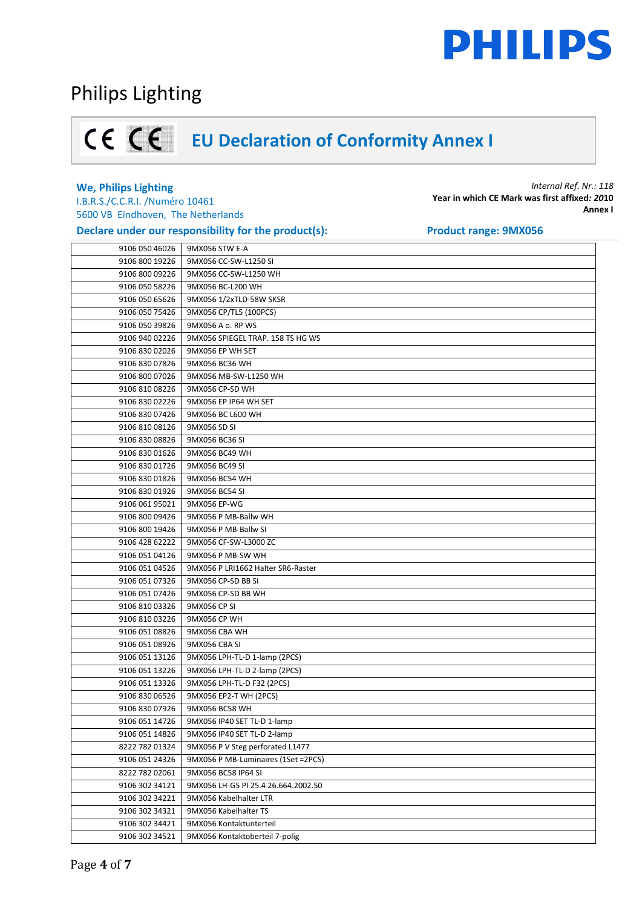## Philips Lighting

# **EU Declaration of Conformity Annex I**

### **We, Philips Lighting**

I.B.R.S./C.C.R.I. /Numéro 10461 5600 VB Eindhoven, The Netherlands

### **Declare under our responsibility for the product(s): Product range: 9MX056**

|                | 9106 050 46026 9MX056 STW E-A       |
|----------------|-------------------------------------|
| 9106 800 19226 | 9MX056 CC-SW-L1250 SI               |
| 9106 800 09226 | 9MX056 CC-SW-L1250 WH               |
| 9106 050 58226 | 9MX056 BC-L200 WH                   |
| 9106 050 65626 | 9MX056 1/2xTLD-58W SKSR             |
| 9106 050 75426 | 9MX056 CP/TL5 (100PCS)              |
| 9106 050 39826 | 9MX056 A o. RP WS                   |
| 9106 940 02226 | 9MX056 SPIEGEL TRAP. 158 TS HG WS   |
| 9106 830 02026 | 9MX056 EP WH SET                    |
| 9106 830 07826 | 9MX056 BC36 WH                      |
| 9106 800 07026 | 9MX056 MB-SW-L1250 WH               |
| 9106 810 08226 | 9MX056 CP-SD WH                     |
| 9106 830 02226 | 9MX056 EP IP64 WH SET               |
| 9106 830 07426 | 9MX056 BC L600 WH                   |
| 9106 810 08126 | 9MX056 SD SI                        |
| 9106 830 08826 | 9MX056 BC36 SI                      |
| 9106 830 01626 | 9MX056 BC49 WH                      |
| 9106 830 01726 | 9MX056 BC49 SI                      |
| 9106 830 01826 | 9MX056 BC54 WH                      |
| 9106 830 01926 | 9MX056 BC54 SI                      |
| 9106 061 95021 | 9MX056 EP-WG                        |
| 9106 800 09426 | 9MX056 P MB-Ballw WH                |
| 9106 800 19426 | 9MX056 P MB-Ballw SI                |
| 9106 428 62222 | 9MX056 CF-SW-L3000 ZC               |
| 9106 051 04126 | 9MX056 P MB-SW WH                   |
| 9106 051 04526 | 9MX056 P LRI1662 Halter SR6-Raster  |
| 9106 051 07326 | 9MX056 CP-SD BB SI                  |
| 9106 051 07426 | 9MX056 CP-SD BB WH                  |
| 9106 810 03326 | 9MX056 CP SI                        |
| 9106 810 03226 | 9MX056 CP WH                        |
| 9106 051 08826 | 9MX056 CBA WH                       |
| 9106 051 08926 | 9MX056 CBA SI                       |
| 9106 051 13126 | 9MX056 LPH-TL-D 1-lamp (2PCS)       |
| 9106 051 13226 | 9MX056 LPH-TL-D 2-lamp (2PCS)       |
| 9106 051 13326 | 9MX056 LPH-TL-D F32 (2PCS)          |
| 9106 830 06526 | 9MX056 EP2-T WH (2PCS)              |
| 9106 830 07926 | 9MX056 BC58 WH                      |
| 9106 051 14726 | 9MX056 IP40 SET TL-D 1-lamp         |
| 9106 051 14826 | 9MX056 IP40 SET TL-D 2-lamp         |
| 8222 782 01324 | 9MX056 P V Steg perforated L1477    |
| 9106 051 24326 | 9MX056 P MB-Luminaires (1Set =2PCS) |
| 8222 782 02061 | 9MX056 BC58 IP64 SI                 |
| 9106 302 34121 | 9MX056 LH-G5 PI 25.4 26.664.2002.50 |
| 9106 302 34221 | 9MX056 Kabelhalter LTR              |
| 9106 302 34321 | 9MX056 Kabelhalter TS               |
| 9106 302 34421 | 9MX056 Kontaktunterteil             |
| 9106 302 34521 | 9MX056 Kontaktoberteil 7-polig      |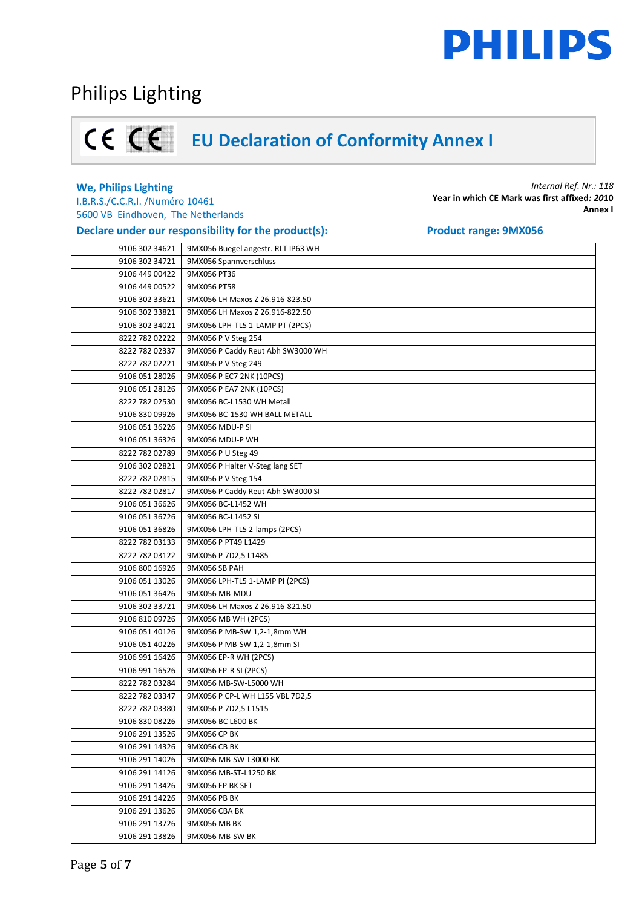## Philips Lighting

# **EU Declaration of Conformity Annex I**

### **We, Philips Lighting**

I.B.R.S./C.C.R.I. /Numéro 10461 5600 VB Eindhoven, The Netherlands

**Declare under our responsibility for the product(s):** Product range: 9MX056

| 9106 302 34621 | 9MX056 Buegel angestr. RLT IP63 WH |
|----------------|------------------------------------|
| 9106 302 34721 | 9MX056 Spannverschluss             |
| 9106 449 00422 | 9MX056 PT36                        |
| 9106 449 00522 | 9MX056 PT58                        |
| 9106 302 33621 | 9MX056 LH Maxos Z 26.916-823.50    |
| 9106 302 33821 | 9MX056 LH Maxos Z 26.916-822.50    |
| 9106 302 34021 | 9MX056 LPH-TL5 1-LAMP PT (2PCS)    |
| 8222 782 02222 | 9MX056 P V Steg 254                |
| 8222 782 02337 | 9MX056 P Caddy Reut Abh SW3000 WH  |
| 8222 782 02221 | 9MX056 P V Steg 249                |
| 9106 051 28026 | 9MX056 P EC7 2NK (10PCS)           |
| 9106 051 28126 | 9MX056 P EA7 2NK (10PCS)           |
| 8222 782 02530 | 9MX056 BC-L1530 WH Metall          |
| 9106 830 09926 | 9MX056 BC-1530 WH BALL METALL      |
| 9106 051 36226 | 9MX056 MDU-P SI                    |
| 9106 051 36326 | 9MX056 MDU-P WH                    |
| 8222 782 02789 | 9MX056 P U Steg 49                 |
| 9106 302 02821 | 9MX056 P Halter V-Steg lang SET    |
| 8222 782 02815 | 9MX056 P V Steg 154                |
| 8222 782 02817 | 9MX056 P Caddy Reut Abh SW3000 SI  |
| 9106 051 36626 | 9MX056 BC-L1452 WH                 |
| 9106 051 36726 | 9MX056 BC-L1452 SI                 |
| 9106 051 36826 | 9MX056 LPH-TL5 2-lamps (2PCS)      |
| 8222 782 03133 | 9MX056 P PT49 L1429                |
| 8222 782 03122 | 9MX056 P 7D2,5 L1485               |
| 9106 800 16926 | 9MX056 SB PAH                      |
| 9106 051 13026 | 9MX056 LPH-TL5 1-LAMP PI (2PCS)    |
| 9106 051 36426 | 9MX056 MB-MDU                      |
| 9106 302 33721 | 9MX056 LH Maxos Z 26.916-821.50    |
| 9106 810 09726 | 9MX056 MB WH (2PCS)                |
| 9106 051 40126 | 9MX056 P MB-SW 1,2-1,8mm WH        |
| 9106 051 40226 | 9MX056 P MB-SW 1,2-1,8mm SI        |
| 9106 991 16426 | 9MX056 EP-R WH (2PCS)              |
| 9106 991 16526 | 9MX056 EP-R SI (2PCS)              |
| 8222 782 03284 | 9MX056 MB-SW-L5000 WH              |
| 8222 782 03347 | 9MX056 P CP-L WH L155 VBL 7D2,5    |
| 8222 782 03380 | 9MX056 P 7D2,5 L1515               |
|                | 9106 830 08226   9MX056 BC L600 BK |
| 9106 291 13526 | 9MX056 CP BK                       |
| 9106 291 14326 | 9MX056 CB BK                       |
| 9106 291 14026 | 9MX056 MB-SW-L3000 BK              |
| 9106 291 14126 | 9MX056 MB-ST-L1250 BK              |
| 9106 291 13426 | 9MX056 EP BK SET                   |
| 9106 291 14226 | 9MX056 PB BK                       |
| 9106 291 13626 | 9MX056 CBA BK                      |
| 9106 291 13726 | 9MX056 MB BK                       |
| 9106 291 13826 | 9MX056 MB-SW BK                    |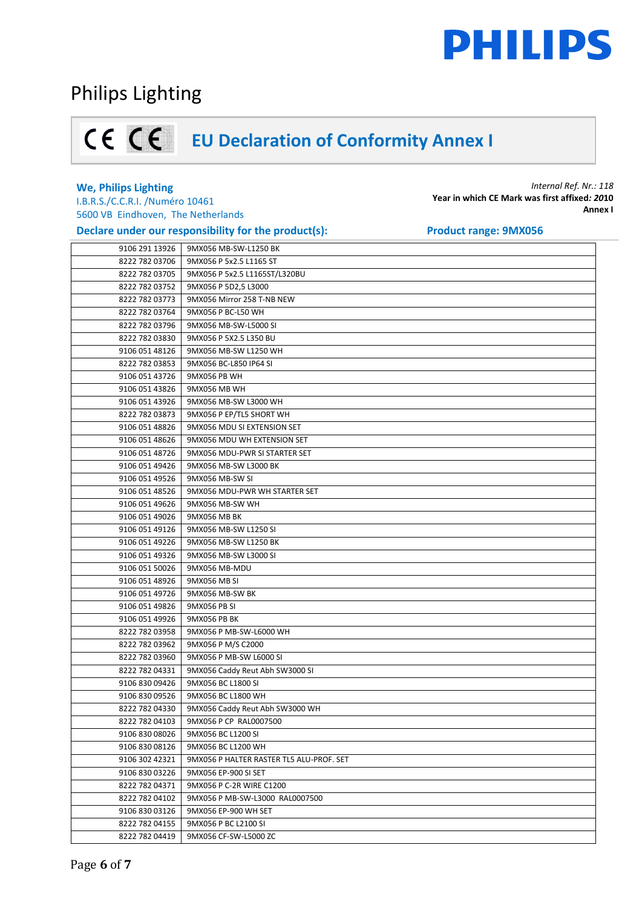## Philips Lighting

## **EU Declaration of Conformity Annex I**

### **We, Philips Lighting**

I.B.R.S./C.C.R.I. /Numéro 10461 5600 VB Eindhoven, The Netherlands

### **Declare under our responsibility for the product(s):** Product range: 9MX056

|                | Petruit under our responsibility for the production |
|----------------|-----------------------------------------------------|
| 9106 291 13926 | 9MX056 MB-SW-L1250 BK                               |
| 8222 782 03706 | 9MX056 P 5x2.5 L1165 ST                             |
| 8222 782 03705 | 9MX056 P 5x2.5 L1165ST/L320BU                       |
| 8222 782 03752 | 9MX056 P 5D2,5 L3000                                |
| 8222 782 03773 | 9MX056 Mirror 258 T-NB NEW                          |
| 8222 782 03764 | 9MX056 P BC-L50 WH                                  |
| 8222 782 03796 | 9MX056 MB-SW-L5000 SI                               |
| 8222 782 03830 | 9MX056 P 5X2.5 L350 BU                              |
| 9106 051 48126 | 9MX056 MB-SW L1250 WH                               |
| 8222 782 03853 | 9MX056 BC-L850 IP64 SI                              |
| 9106 051 43726 | 9MX056 PB WH                                        |
| 9106 051 43826 | 9MX056 MB WH                                        |
| 9106 051 43926 | 9MX056 MB-SW L3000 WH                               |
| 8222 782 03873 | 9MX056 P EP/TL5 SHORT WH                            |
| 9106 051 48826 | 9MX056 MDU SI EXTENSION SET                         |
| 9106 051 48626 | 9MX056 MDU WH EXTENSION SET                         |
| 9106 051 48726 | 9MX056 MDU-PWR SI STARTER SET                       |
| 9106 051 49426 | 9MX056 MB-SW L3000 BK                               |
| 9106 051 49526 | 9MX056 MB-SW SI                                     |
| 9106 051 48526 | 9MX056 MDU-PWR WH STARTER SET                       |
| 9106 051 49626 | 9MX056 MB-SW WH                                     |
| 9106 051 49026 | 9MX056 MB BK                                        |
| 9106 051 49126 | 9MX056 MB-SW L1250 SI                               |
| 9106 051 49226 | 9MX056 MB-SW L1250 BK                               |
| 9106 051 49326 | 9MX056 MB-SW L3000 SI                               |
| 9106 051 50026 | 9MX056 MB-MDU                                       |
| 9106 051 48926 | 9MX056 MB SI                                        |
| 9106 051 49726 | 9MX056 MB-SW BK                                     |
| 9106 051 49826 | 9MX056 PB SI                                        |
| 9106 051 49926 | 9MX056 PB BK                                        |
| 8222 782 03958 | 9MX056 P MB-SW-L6000 WH                             |
| 8222 782 03962 | 9MX056 P M/S C2000                                  |
| 8222 782 03960 | 9MX056 P MB-SW L6000 SI                             |
| 8222 782 04331 | 9MX056 Caddy Reut Abh SW3000 SI                     |
| 9106 830 09426 | 9MX056 BC L1800 SI                                  |
| 9106 830 09526 | 9MX056 BC L1800 WH                                  |
| 8222 782 04330 | 9MX056 Caddy Reut Abh SW3000 WH                     |
| 8222 782 04103 | 9MX056 P CP RAL0007500                              |
| 9106 830 08026 | 9MX056 BC L1200 SI                                  |
| 9106 830 08126 | 9MX056 BC L1200 WH                                  |
| 9106 302 42321 | 9MX056 P HALTER RASTER TL5 ALU-PROF. SET            |
| 9106 830 03226 | 9MX056 EP-900 SI SET                                |
| 8222 782 04371 | 9MX056 P C-2R WIRE C1200                            |
| 8222 782 04102 | 9MX056 P MB-SW-L3000 RAL0007500                     |
| 9106 830 03126 | 9MX056 EP-900 WH SET                                |
| 8222 782 04155 | 9MX056 P BC L2100 SI                                |
| 8222 782 04419 | 9MX056 CF-SW-L5000 ZC                               |